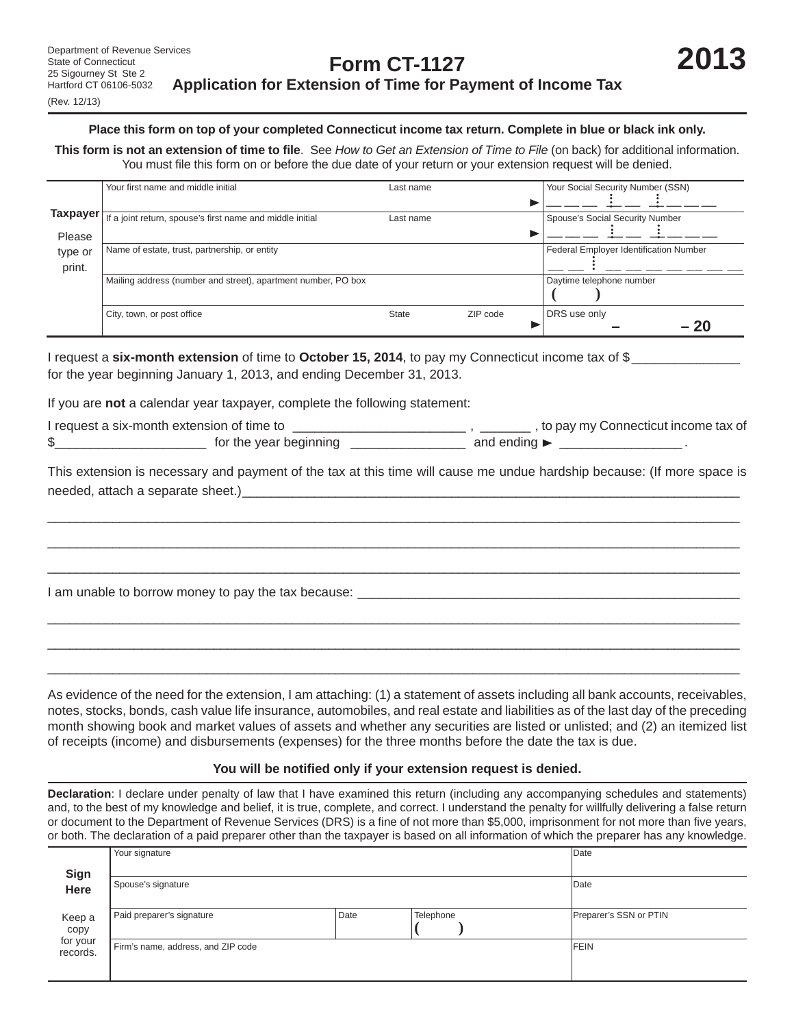#### (Rev. 12/13)

#### **Place this form on top of your completed Connecticut income tax return. Complete in blue or black ink only.**

**This form is not an extension of time to fi le**. See *How to Get an Extension of Time to File* (on back) for additional information. You must file this form on or before the due date of your return or your extension request will be denied.

|                       | Your first name and middle initial                            | Last name |          | Your Social Security Number (SSN)      |
|-----------------------|---------------------------------------------------------------|-----------|----------|----------------------------------------|
|                       |                                                               |           |          |                                        |
| Taxpayer <del>∣</del> | If a joint return, spouse's first name and middle initial     | Last name |          | Spouse's Social Security Number        |
| Please                |                                                               |           |          |                                        |
| type or               | Name of estate, trust, partnership, or entity                 |           |          | Federal Employer Identification Number |
| print.                |                                                               |           |          |                                        |
|                       | Mailing address (number and street), apartment number, PO box |           |          | Daytime telephone number               |
|                       |                                                               |           |          |                                        |
|                       | City, town, or post office                                    | State     | ZIP code | DRS use only                           |
|                       |                                                               |           |          | - 20                                   |

I request a **six-month extension** of time to **October 15, 2014**, to pay my Connecticut income tax of \$ for the year beginning January 1, 2013, and ending December 31, 2013.

If you are **not** a calendar year taxpayer, complete the following statement:

I request a six-month extension of time to \_\_\_\_\_\_\_\_\_\_\_\_\_\_\_\_\_\_\_\_\_\_\_\_\_\_\_\_\_\_\_\_, to pay my Connecticut income tax of \$\_\_\_\_\_\_\_\_\_\_\_\_\_\_\_\_\_\_\_\_\_\_\_\_\_\_\_ for the year beginning \_\_\_\_\_\_\_\_\_\_\_\_\_\_\_\_\_\_\_\_\_\_\_\_\_\_\_\_ and ending  $\blacktriangleright$  \_\_\_\_\_\_\_\_\_\_\_\_\_\_\_\_\_\_\_\_\_\_.

This extension is necessary and payment of the tax at this time will cause me undue hardship because: (If more space is needed, attach a separate sheet.)

 $\overline{\phantom{a}}$  ,  $\overline{\phantom{a}}$  ,  $\overline{\phantom{a}}$  ,  $\overline{\phantom{a}}$  ,  $\overline{\phantom{a}}$  ,  $\overline{\phantom{a}}$  ,  $\overline{\phantom{a}}$  ,  $\overline{\phantom{a}}$  ,  $\overline{\phantom{a}}$  ,  $\overline{\phantom{a}}$  ,  $\overline{\phantom{a}}$  ,  $\overline{\phantom{a}}$  ,  $\overline{\phantom{a}}$  ,  $\overline{\phantom{a}}$  ,  $\overline{\phantom{a}}$  ,  $\overline{\phantom{a}}$  $\overline{\phantom{a}}$  ,  $\overline{\phantom{a}}$  ,  $\overline{\phantom{a}}$  ,  $\overline{\phantom{a}}$  ,  $\overline{\phantom{a}}$  ,  $\overline{\phantom{a}}$  ,  $\overline{\phantom{a}}$  ,  $\overline{\phantom{a}}$  ,  $\overline{\phantom{a}}$  ,  $\overline{\phantom{a}}$  ,  $\overline{\phantom{a}}$  ,  $\overline{\phantom{a}}$  ,  $\overline{\phantom{a}}$  ,  $\overline{\phantom{a}}$  ,  $\overline{\phantom{a}}$  ,  $\overline{\phantom{a}}$  $\overline{\phantom{a}}$  ,  $\overline{\phantom{a}}$  ,  $\overline{\phantom{a}}$  ,  $\overline{\phantom{a}}$  ,  $\overline{\phantom{a}}$  ,  $\overline{\phantom{a}}$  ,  $\overline{\phantom{a}}$  ,  $\overline{\phantom{a}}$  ,  $\overline{\phantom{a}}$  ,  $\overline{\phantom{a}}$  ,  $\overline{\phantom{a}}$  ,  $\overline{\phantom{a}}$  ,  $\overline{\phantom{a}}$  ,  $\overline{\phantom{a}}$  ,  $\overline{\phantom{a}}$  ,  $\overline{\phantom{a}}$ 

 $\overline{\phantom{a}}$  ,  $\overline{\phantom{a}}$  ,  $\overline{\phantom{a}}$  ,  $\overline{\phantom{a}}$  ,  $\overline{\phantom{a}}$  ,  $\overline{\phantom{a}}$  ,  $\overline{\phantom{a}}$  ,  $\overline{\phantom{a}}$  ,  $\overline{\phantom{a}}$  ,  $\overline{\phantom{a}}$  ,  $\overline{\phantom{a}}$  ,  $\overline{\phantom{a}}$  ,  $\overline{\phantom{a}}$  ,  $\overline{\phantom{a}}$  ,  $\overline{\phantom{a}}$  ,  $\overline{\phantom{a}}$  $\overline{\phantom{a}}$  ,  $\overline{\phantom{a}}$  ,  $\overline{\phantom{a}}$  ,  $\overline{\phantom{a}}$  ,  $\overline{\phantom{a}}$  ,  $\overline{\phantom{a}}$  ,  $\overline{\phantom{a}}$  ,  $\overline{\phantom{a}}$  ,  $\overline{\phantom{a}}$  ,  $\overline{\phantom{a}}$  ,  $\overline{\phantom{a}}$  ,  $\overline{\phantom{a}}$  ,  $\overline{\phantom{a}}$  ,  $\overline{\phantom{a}}$  ,  $\overline{\phantom{a}}$  ,  $\overline{\phantom{a}}$  $\overline{\phantom{a}}$  ,  $\overline{\phantom{a}}$  ,  $\overline{\phantom{a}}$  ,  $\overline{\phantom{a}}$  ,  $\overline{\phantom{a}}$  ,  $\overline{\phantom{a}}$  ,  $\overline{\phantom{a}}$  ,  $\overline{\phantom{a}}$  ,  $\overline{\phantom{a}}$  ,  $\overline{\phantom{a}}$  ,  $\overline{\phantom{a}}$  ,  $\overline{\phantom{a}}$  ,  $\overline{\phantom{a}}$  ,  $\overline{\phantom{a}}$  ,  $\overline{\phantom{a}}$  ,  $\overline{\phantom{a}}$ 

I am unable to borrow money to pay the tax because:

As evidence of the need for the extension, I am attaching: (1) a statement of assets including all bank accounts, receivables, notes, stocks, bonds, cash value life insurance, automobiles, and real estate and liabilities as of the last day of the preceding month showing book and market values of assets and whether any securities are listed or unlisted; and (2) an itemized list of receipts (income) and disbursements (expenses) for the three months before the date the tax is due.

### You will be notified only if your extension request is denied.

**Declaration**: I declare under penalty of law that I have examined this return (including any accompanying schedules and statements) and, to the best of my knowledge and belief, it is true, complete, and correct. I understand the penalty for willfully delivering a false return or document to the Department of Revenue Services (DRS) is a fine of not more than \$5,000, imprisonment for not more than five years, or both. The declaration of a paid preparer other than the taxpayer is based on all information of which the preparer has any knowledge.

|                                                        | Your signature                     |      |           | Date                   |
|--------------------------------------------------------|------------------------------------|------|-----------|------------------------|
| Sign<br>Here<br>Keep a<br>copy<br>for your<br>records. | Spouse's signature                 |      |           | Date                   |
|                                                        | Paid preparer's signature          | Date | Telephone | Preparer's SSN or PTIN |
|                                                        | Firm's name, address, and ZIP code |      |           | <b>FEIN</b>            |